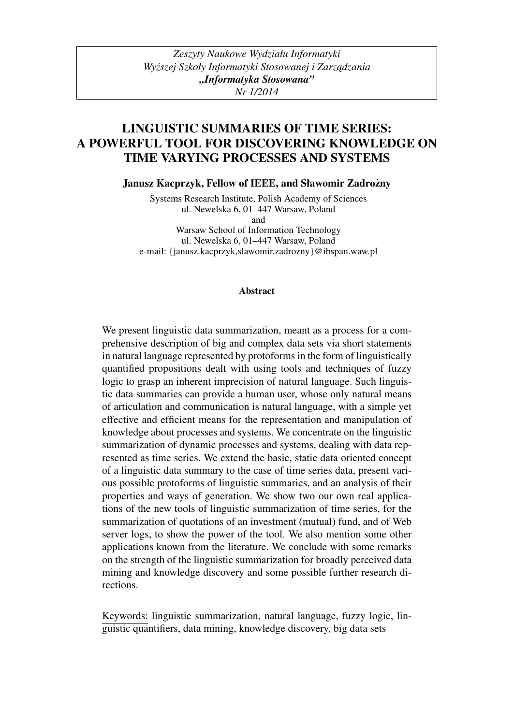# LINGUISTIC SUMMARIES OF TIME SERIES: A POWERFUL TOOL FOR DISCOVERING KNOWLEDGE ON TIME VARYING PROCESSES AND SYSTEMS

Janusz Kacprzyk, Fellow of IEEE, and Sławomir Zadrożny

Systems Research Institute, Polish Academy of Sciences ul. Newelska 6, 01–447 Warsaw, Poland and Warsaw School of Information Technology ul. Newelska 6, 01–447 Warsaw, Poland

e-mail: {janusz.kacprzyk,slawomir.zadrozny}@ibspan.waw.pl

#### Abstract

We present linguistic data summarization, meant as a process for a comprehensive description of big and complex data sets via short statements in natural language represented by protoforms in the form of linguistically quantified propositions dealt with using tools and techniques of fuzzy logic to grasp an inherent imprecision of natural language. Such linguistic data summaries can provide a human user, whose only natural means of articulation and communication is natural language, with a simple yet effective and efficient means for the representation and manipulation of knowledge about processes and systems. We concentrate on the linguistic summarization of dynamic processes and systems, dealing with data represented as time series. We extend the basic, static data oriented concept of a linguistic data summary to the case of time series data, present various possible protoforms of linguistic summaries, and an analysis of their properties and ways of generation. We show two our own real applications of the new tools of linguistic summarization of time series, for the summarization of quotations of an investment (mutual) fund, and of Web server logs, to show the power of the tool. We also mention some other applications known from the literature. We conclude with some remarks on the strength of the linguistic summarization for broadly perceived data mining and knowledge discovery and some possible further research directions.

Keywords: linguistic summarization, natural language, fuzzy logic, linguistic quantifiers, data mining, knowledge discovery, big data sets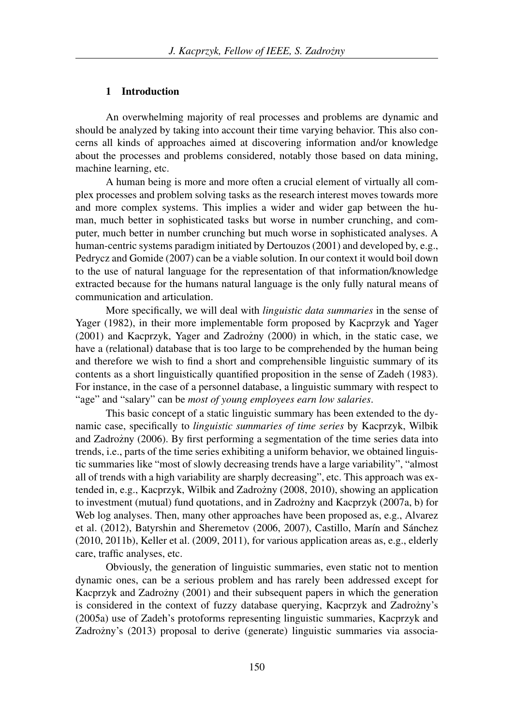## 1 Introduction

An overwhelming majority of real processes and problems are dynamic and should be analyzed by taking into account their time varying behavior. This also concerns all kinds of approaches aimed at discovering information and/or knowledge about the processes and problems considered, notably those based on data mining, machine learning, etc.

A human being is more and more often a crucial element of virtually all complex processes and problem solving tasks as the research interest moves towards more and more complex systems. This implies a wider and wider gap between the human, much better in sophisticated tasks but worse in number crunching, and computer, much better in number crunching but much worse in sophisticated analyses. A human-centric systems paradigm initiated by Dertouzos (2001) and developed by, e.g., Pedrycz and Gomide (2007) can be a viable solution. In our context it would boil down to the use of natural language for the representation of that information/knowledge extracted because for the humans natural language is the only fully natural means of communication and articulation.

More specifically, we will deal with *linguistic data summaries* in the sense of Yager (1982), in their more implementable form proposed by Kacprzyk and Yager  $(2001)$  and Kacprzyk, Yager and Zadrozny  $(2000)$  in which, in the static case, we have a (relational) database that is too large to be comprehended by the human being and therefore we wish to find a short and comprehensible linguistic summary of its contents as a short linguistically quantified proposition in the sense of Zadeh (1983). For instance, in the case of a personnel database, a linguistic summary with respect to "age" and "salary" can be *most of young employees earn low salaries*.

This basic concept of a static linguistic summary has been extended to the dynamic case, specifically to *linguistic summaries of time series* by Kacprzyk, Wilbik and Zadrożny  $(2006)$ . By first performing a segmentation of the time series data into trends, i.e., parts of the time series exhibiting a uniform behavior, we obtained linguistic summaries like "most of slowly decreasing trends have a large variability", "almost all of trends with a high variability are sharply decreasing", etc. This approach was extended in, e.g., Kacprzyk, Wilbik and Zadrożny (2008, 2010), showing an application to investment (mutual) fund quotations, and in Zadrozny and Kacprzyk (2007a, b) for ˙ Web log analyses. Then, many other approaches have been proposed as, e.g., Alvarez et al. (2012), Batyrshin and Sheremetov (2006, 2007), Castillo, Marín and Sánchez (2010, 2011b), Keller et al. (2009, 2011), for various application areas as, e.g., elderly care, traffic analyses, etc.

Obviously, the generation of linguistic summaries, even static not to mention dynamic ones, can be a serious problem and has rarely been addressed except for Kacprzyk and Zadrożny (2001) and their subsequent papers in which the generation is considered in the context of fuzzy database querying, Kacprzyk and Zadrożny's (2005a) use of Zadeh's protoforms representing linguistic summaries, Kacprzyk and Zadrożny's (2013) proposal to derive (generate) linguistic summaries via associa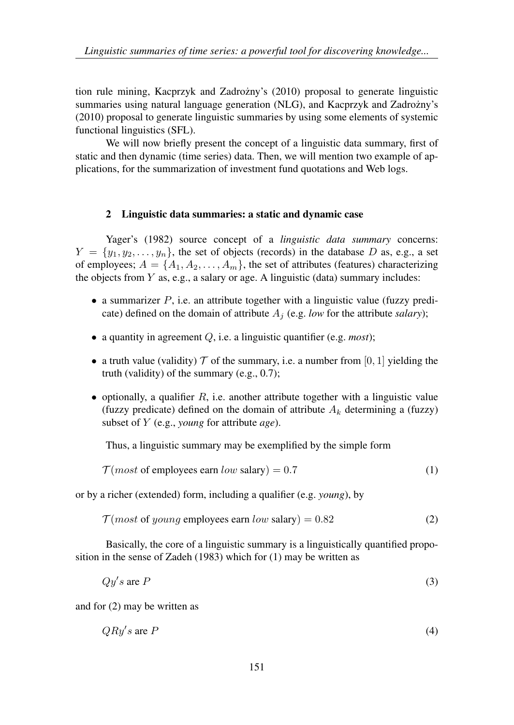tion rule mining, Kacprzyk and Zadrożny's (2010) proposal to generate linguistic summaries using natural language generation (NLG), and Kacprzyk and Zadrożny's (2010) proposal to generate linguistic summaries by using some elements of systemic functional linguistics (SFL).

We will now briefly present the concept of a linguistic data summary, first of static and then dynamic (time series) data. Then, we will mention two example of applications, for the summarization of investment fund quotations and Web logs.

# 2 Linguistic data summaries: a static and dynamic case

Yager's (1982) source concept of a *linguistic data summary* concerns:  $Y = \{y_1, y_2, \ldots, y_n\}$ , the set of objects (records) in the database D as, e.g., a set of employees;  $A = \{A_1, A_2, \ldots, A_m\}$ , the set of attributes (features) characterizing the objects from  $Y$  as, e.g., a salary or age. A linguistic (data) summary includes:

- a summarizer  $P$ , i.e. an attribute together with a linguistic value (fuzzy predicate) defined on the domain of attribute  $A_j$  (e.g. *low* for the attribute *salary*);
- a quantity in agreement Q, i.e. a linguistic quantifier (e.g. *most*);
- a truth value (validity)  $T$  of the summary, i.e. a number from [0, 1] yielding the truth (validity) of the summary (e.g., 0.7);
- optionally, a qualifier  $R$ , i.e. another attribute together with a linguistic value (fuzzy predicate) defined on the domain of attribute  $A_k$  determining a (fuzzy) subset of Y (e.g., *young* for attribute *age*).

Thus, a linguistic summary may be exemplified by the simple form

 $T(most \text{ of employees earn } low \text{ salary}) = 0.7$  (1)

or by a richer (extended) form, including a qualifier (e.g. *young*), by

 $T (most of young employees earn low salary) = 0.82$  (2)

Basically, the core of a linguistic summary is a linguistically quantified proposition in the sense of Zadeh (1983) which for (1) may be written as

$$
Qy's \text{ are } P \tag{3}
$$

and for (2) may be written as

$$
QRy's are P \tag{4}
$$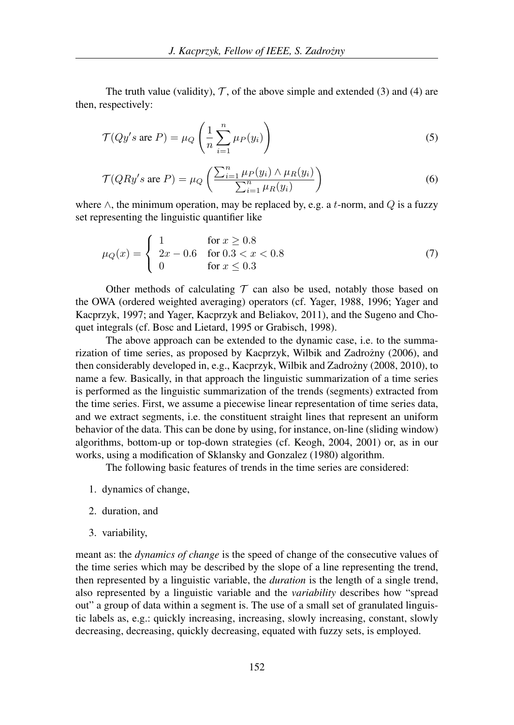The truth value (validity),  $\mathcal{T}$ , of the above simple and extended (3) and (4) are then, respectively:

$$
\mathcal{T}(Qy's \text{ are } P) = \mu_Q \left( \frac{1}{n} \sum_{i=1}^n \mu_P(y_i) \right)
$$
\n(5)

$$
\mathcal{T}(QRy's \text{ are } P) = \mu_Q \left( \frac{\sum_{i=1}^n \mu_P(y_i) \wedge \mu_R(y_i)}{\sum_{i=1}^n \mu_R(y_i)} \right) \tag{6}
$$

where  $\wedge$ , the minimum operation, may be replaced by, e.g. a t-norm, and Q is a fuzzy set representing the linguistic quantifier like

$$
\mu_Q(x) = \begin{cases} 1 & \text{for } x \ge 0.8 \\ 2x - 0.6 & \text{for } 0.3 < x < 0.8 \\ 0 & \text{for } x \le 0.3 \end{cases}
$$
(7)

Other methods of calculating  $\tau$  can also be used, notably those based on the OWA (ordered weighted averaging) operators (cf. Yager, 1988, 1996; Yager and Kacprzyk, 1997; and Yager, Kacprzyk and Beliakov, 2011), and the Sugeno and Choquet integrals (cf. Bosc and Lietard, 1995 or Grabisch, 1998).

The above approach can be extended to the dynamic case, i.e. to the summarization of time series, as proposed by Kacprzyk, Wilbik and Zadrożny (2006), and then considerably developed in, e.g., Kacprzyk, Wilbik and Zadrożny (2008, 2010), to name a few. Basically, in that approach the linguistic summarization of a time series is performed as the linguistic summarization of the trends (segments) extracted from the time series. First, we assume a piecewise linear representation of time series data, and we extract segments, i.e. the constituent straight lines that represent an uniform behavior of the data. This can be done by using, for instance, on-line (sliding window) algorithms, bottom-up or top-down strategies (cf. Keogh, 2004, 2001) or, as in our works, using a modification of Sklansky and Gonzalez (1980) algorithm.

The following basic features of trends in the time series are considered:

- 1. dynamics of change,
- 2. duration, and
- 3. variability,

meant as: the *dynamics of change* is the speed of change of the consecutive values of the time series which may be described by the slope of a line representing the trend, then represented by a linguistic variable, the *duration* is the length of a single trend, also represented by a linguistic variable and the *variability* describes how "spread out" a group of data within a segment is. The use of a small set of granulated linguistic labels as, e.g.: quickly increasing, increasing, slowly increasing, constant, slowly decreasing, decreasing, quickly decreasing, equated with fuzzy sets, is employed.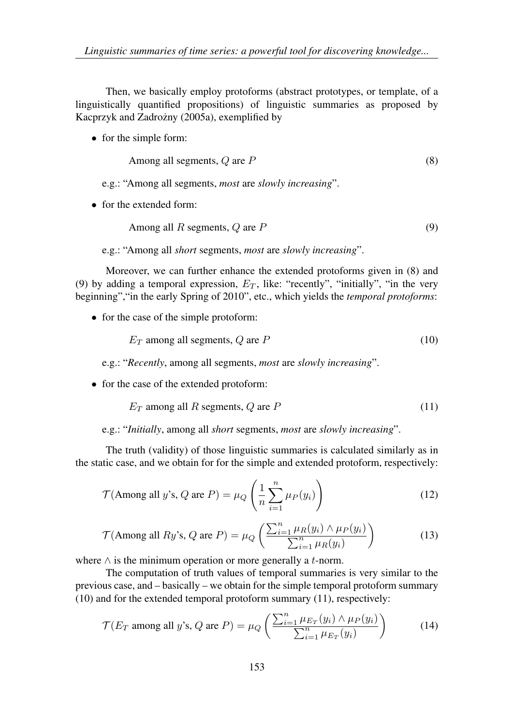Then, we basically employ protoforms (abstract prototypes, or template, of a linguistically quantified propositions) of linguistic summaries as proposed by Kacprzyk and Zadrożny (2005a), exemplified by

• for the simple form:

Among all segments, 
$$
Q
$$
 are  $P$  (8)

e.g.: "Among all segments, *most* are *slowly increasing*".

• for the extended form:

Among all 
$$
R
$$
 segments,  $Q$  are  $P$  (9)

e.g.: "Among all *short* segments, *most* are *slowly increasing*".

Moreover, we can further enhance the extended protoforms given in (8) and (9) by adding a temporal expression,  $E_T$ , like: "recently", "initially", "in the very beginning","in the early Spring of 2010", etc., which yields the *temporal protoforms*:

• for the case of the simple protoform:

$$
E_T \text{ among all segments, } Q \text{ are } P \tag{10}
$$

e.g.: "*Recently*, among all segments, *most* are *slowly increasing*".

• for the case of the extended protoform:

$$
E_T \text{ among all } R \text{ segments, } Q \text{ are } P \tag{11}
$$

e.g.: "*Initially*, among all *short* segments, *most* are *slowly increasing*".

The truth (validity) of those linguistic summaries is calculated similarly as in the static case, and we obtain for for the simple and extended protoform, respectively:

$$
\mathcal{T}(\text{Among all } y \text{'s, } Q \text{ are } P) = \mu_Q \left( \frac{1}{n} \sum_{i=1}^n \mu_P(y_i) \right) \tag{12}
$$

$$
\mathcal{T}(\text{Among all } Ry's, Q \text{ are } P) = \mu_Q \left( \frac{\sum_{i=1}^n \mu_R(y_i) \wedge \mu_P(y_i)}{\sum_{i=1}^n \mu_R(y_i)} \right) \tag{13}
$$

where  $\wedge$  is the minimum operation or more generally a t-norm.

The computation of truth values of temporal summaries is very similar to the previous case, and – basically – we obtain for the simple temporal protoform summary (10) and for the extended temporal protoform summary (11), respectively:

$$
\mathcal{T}(E_T \text{ among all } y \text{'s, } Q \text{ are } P) = \mu_Q \left( \frac{\sum_{i=1}^n \mu_{E_T}(y_i) \wedge \mu_P(y_i)}{\sum_{i=1}^n \mu_{E_T}(y_i)} \right) \tag{14}
$$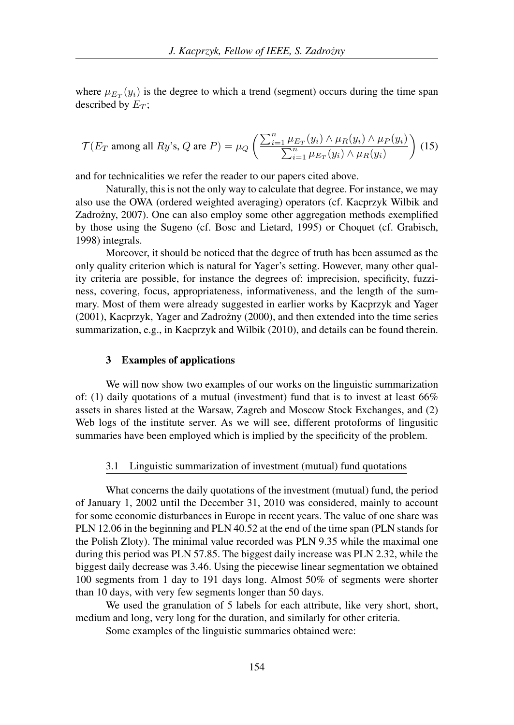where  $\mu_{E_T}(y_i)$  is the degree to which a trend (segment) occurs during the time span described by  $E_T$ ;

$$
\mathcal{T}(E_T \text{ among all } Ry\text{'s, } Q \text{ are } P) = \mu_Q \left( \frac{\sum_{i=1}^n \mu_{E_T}(y_i) \wedge \mu_R(y_i) \wedge \mu_P(y_i)}{\sum_{i=1}^n \mu_{E_T}(y_i) \wedge \mu_R(y_i)} \right) (15)
$$

and for technicalities we refer the reader to our papers cited above.

Naturally, this is not the only way to calculate that degree. For instance, we may also use the OWA (ordered weighted averaging) operators (cf. Kacprzyk Wilbik and Zadrożny, 2007). One can also employ some other aggregation methods exemplified by those using the Sugeno (cf. Bosc and Lietard, 1995) or Choquet (cf. Grabisch, 1998) integrals.

Moreover, it should be noticed that the degree of truth has been assumed as the only quality criterion which is natural for Yager's setting. However, many other quality criteria are possible, for instance the degrees of: imprecision, specificity, fuzziness, covering, focus, appropriateness, informativeness, and the length of the summary. Most of them were already suggested in earlier works by Kacprzyk and Yager  $(2001)$ , Kacprzyk, Yager and Zadrożny  $(2000)$ , and then extended into the time series summarization, e.g., in Kacprzyk and Wilbik (2010), and details can be found therein.

## 3 Examples of applications

We will now show two examples of our works on the linguistic summarization of: (1) daily quotations of a mutual (investment) fund that is to invest at least 66% assets in shares listed at the Warsaw, Zagreb and Moscow Stock Exchanges, and (2) Web logs of the institute server. As we will see, different protoforms of lingusitic summaries have been employed which is implied by the specificity of the problem.

## 3.1 Linguistic summarization of investment (mutual) fund quotations

What concerns the daily quotations of the investment (mutual) fund, the period of January 1, 2002 until the December 31, 2010 was considered, mainly to account for some economic disturbances in Europe in recent years. The value of one share was PLN 12.06 in the beginning and PLN 40.52 at the end of the time span (PLN stands for the Polish Zloty). The minimal value recorded was PLN 9.35 while the maximal one during this period was PLN 57.85. The biggest daily increase was PLN 2.32, while the biggest daily decrease was 3.46. Using the piecewise linear segmentation we obtained 100 segments from 1 day to 191 days long. Almost 50% of segments were shorter than 10 days, with very few segments longer than 50 days.

We used the granulation of 5 labels for each attribute, like very short, short, medium and long, very long for the duration, and similarly for other criteria.

Some examples of the linguistic summaries obtained were: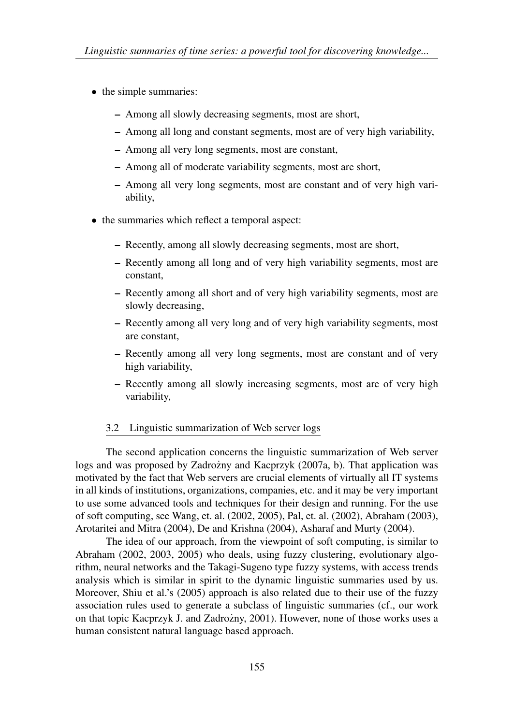- the simple summaries:
	- Among all slowly decreasing segments, most are short,
	- Among all long and constant segments, most are of very high variability,
	- Among all very long segments, most are constant,
	- Among all of moderate variability segments, most are short,
	- Among all very long segments, most are constant and of very high variability,
- the summaries which reflect a temporal aspect:
	- Recently, among all slowly decreasing segments, most are short,
	- Recently among all long and of very high variability segments, most are constant,
	- Recently among all short and of very high variability segments, most are slowly decreasing,
	- Recently among all very long and of very high variability segments, most are constant,
	- Recently among all very long segments, most are constant and of very high variability,
	- Recently among all slowly increasing segments, most are of very high variability,

# 3.2 Linguistic summarization of Web server logs

The second application concerns the linguistic summarization of Web server logs and was proposed by Zadrozny and Kacprzyk  $(2007a, b)$ . That application was motivated by the fact that Web servers are crucial elements of virtually all IT systems in all kinds of institutions, organizations, companies, etc. and it may be very important to use some advanced tools and techniques for their design and running. For the use of soft computing, see Wang, et. al. (2002, 2005), Pal, et. al. (2002), Abraham (2003), Arotaritei and Mitra (2004), De and Krishna (2004), Asharaf and Murty (2004).

The idea of our approach, from the viewpoint of soft computing, is similar to Abraham (2002, 2003, 2005) who deals, using fuzzy clustering, evolutionary algorithm, neural networks and the Takagi-Sugeno type fuzzy systems, with access trends analysis which is similar in spirit to the dynamic linguistic summaries used by us. Moreover, Shiu et al.'s (2005) approach is also related due to their use of the fuzzy association rules used to generate a subclass of linguistic summaries (cf., our work on that topic Kacprzyk J. and Zadrozny, 2001). However, none of those works uses a ˙ human consistent natural language based approach.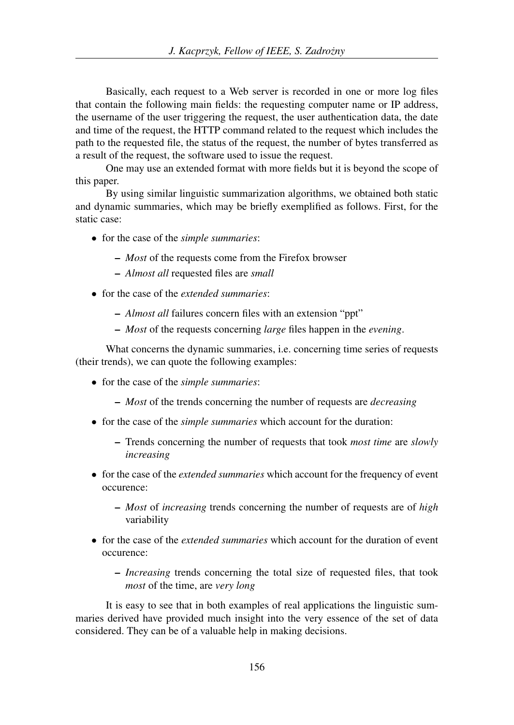Basically, each request to a Web server is recorded in one or more log files that contain the following main fields: the requesting computer name or IP address, the username of the user triggering the request, the user authentication data, the date and time of the request, the HTTP command related to the request which includes the path to the requested file, the status of the request, the number of bytes transferred as a result of the request, the software used to issue the request.

One may use an extended format with more fields but it is beyond the scope of this paper.

By using similar linguistic summarization algorithms, we obtained both static and dynamic summaries, which may be briefly exemplified as follows. First, for the static case:

- for the case of the *simple summaries*:
	- *Most* of the requests come from the Firefox browser
	- *Almost all* requested files are *small*
- for the case of the *extended summaries*:
	- *Almost all* failures concern files with an extension "ppt"
	- *Most* of the requests concerning *large* files happen in the *evening*.

What concerns the dynamic summaries, *i.e.* concerning time series of requests (their trends), we can quote the following examples:

- for the case of the *simple summaries*:
	- *Most* of the trends concerning the number of requests are *decreasing*
- for the case of the *simple summaries* which account for the duration:
	- Trends concerning the number of requests that took *most time* are *slowly increasing*
- for the case of the *extended summaries* which account for the frequency of event occurence:
	- *Most* of *increasing* trends concerning the number of requests are of *high* variability
- for the case of the *extended summaries* which account for the duration of event occurence:
	- *Increasing* trends concerning the total size of requested files, that took *most* of the time, are *very long*

It is easy to see that in both examples of real applications the linguistic summaries derived have provided much insight into the very essence of the set of data considered. They can be of a valuable help in making decisions.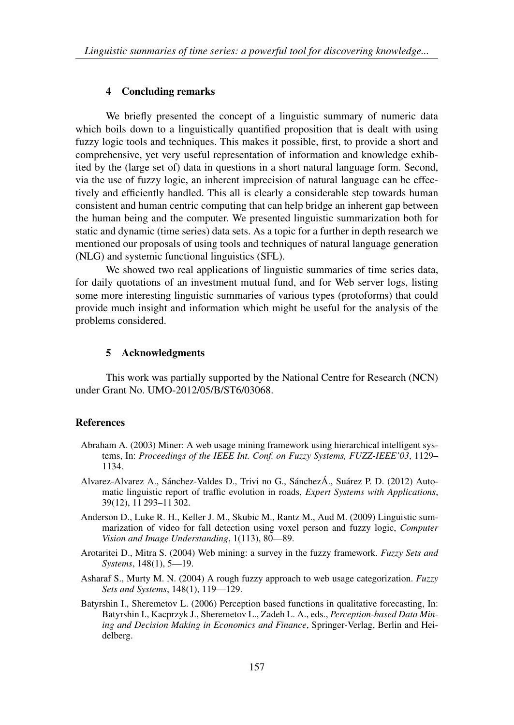## 4 Concluding remarks

We briefly presented the concept of a linguistic summary of numeric data which boils down to a linguistically quantified proposition that is dealt with using fuzzy logic tools and techniques. This makes it possible, first, to provide a short and comprehensive, yet very useful representation of information and knowledge exhibited by the (large set of) data in questions in a short natural language form. Second, via the use of fuzzy logic, an inherent imprecision of natural language can be effectively and efficiently handled. This all is clearly a considerable step towards human consistent and human centric computing that can help bridge an inherent gap between the human being and the computer. We presented linguistic summarization both for static and dynamic (time series) data sets. As a topic for a further in depth research we mentioned our proposals of using tools and techniques of natural language generation (NLG) and systemic functional linguistics (SFL).

We showed two real applications of linguistic summaries of time series data, for daily quotations of an investment mutual fund, and for Web server logs, listing some more interesting linguistic summaries of various types (protoforms) that could provide much insight and information which might be useful for the analysis of the problems considered.

#### 5 Acknowledgments

This work was partially supported by the National Centre for Research (NCN) under Grant No. UMO-2012/05/B/ST6/03068.

#### **References**

- Abraham A. (2003) Miner: A web usage mining framework using hierarchical intelligent systems, In: *Proceedings of the IEEE Int. Conf. on Fuzzy Systems, FUZZ-IEEE'03*, 1129– 1134.
- Alvarez-Alvarez A., Sánchez-Valdes D., Trivi no G., SánchezÁ., Suárez P. D. (2012) Automatic linguistic report of traffic evolution in roads, *Expert Systems with Applications*, 39(12), 11 293–11 302.
- Anderson D., Luke R. H., Keller J. M., Skubic M., Rantz M., Aud M. (2009) Linguistic summarization of video for fall detection using voxel person and fuzzy logic, *Computer Vision and Image Understanding*, 1(113), 80—89.
- Arotaritei D., Mitra S. (2004) Web mining: a survey in the fuzzy framework. *Fuzzy Sets and Systems*, 148(1), 5—19.
- Asharaf S., Murty M. N. (2004) A rough fuzzy approach to web usage categorization. *Fuzzy Sets and Systems*, 148(1), 119—129.
- Batyrshin I., Sheremetov L. (2006) Perception based functions in qualitative forecasting, In: Batyrshin I., Kacprzyk J., Sheremetov L., Zadeh L. A., eds., *Perception-based Data Mining and Decision Making in Economics and Finance*, Springer-Verlag, Berlin and Heidelberg.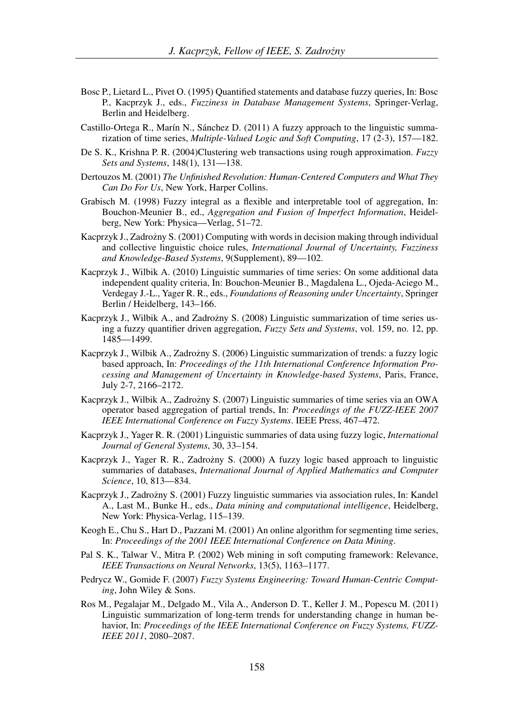- Bosc P., Lietard L., Pivet O. (1995) Quantified statements and database fuzzy queries, In: Bosc P., Kacprzyk J., eds., *Fuzziness in Database Management Systems*, Springer-Verlag, Berlin and Heidelberg.
- Castillo-Ortega R., Marín N., Sánchez D. (2011) A fuzzy approach to the linguistic summarization of time series, *Multiple-Valued Logic and Soft Computing*, 17 (2-3), 157—182.
- De S. K., Krishna P. R. (2004)Clustering web transactions using rough approximation. *Fuzzy Sets and Systems*, 148(1), 131—138.
- Dertouzos M. (2001) *The Unfinished Revolution: Human-Centered Computers and What They Can Do For Us*, New York, Harper Collins.
- Grabisch M. (1998) Fuzzy integral as a flexible and interpretable tool of aggregation, In: Bouchon-Meunier B., ed., *Aggregation and Fusion of Imperfect Information*, Heidelberg, New York: Physica—Verlag, 51–72.
- Kacprzyk J., Zadrożny S. (2001) Computing with words in decision making through individual and collective linguistic choice rules, *International Journal of Uncertainty, Fuzziness and Knowledge-Based Systems*, 9(Supplement), 89—102.
- Kacprzyk J., Wilbik A. (2010) Linguistic summaries of time series: On some additional data independent quality criteria, In: Bouchon-Meunier B., Magdalena L., Ojeda-Aciego M., Verdegay J.-L., Yager R. R., eds., *Foundations of Reasoning under Uncertainty*, Springer Berlin / Heidelberg, 143–166.
- Kacprzyk J., Wilbik A., and Zadrożny S. (2008) Linguistic summarization of time series using a fuzzy quantifier driven aggregation, *Fuzzy Sets and Systems*, vol. 159, no. 12, pp. 1485—1499.
- Kacprzyk J., Wilbik A., Zadrożny S. (2006) Linguistic summarization of trends: a fuzzy logic based approach, In: *Proceedings of the 11th International Conference Information Processing and Management of Uncertainty in Knowledge-based Systems*, Paris, France, July 2-7, 2166–2172.
- Kacprzyk J., Wilbik A., Zadrożny S. (2007) Linguistic summaries of time series via an OWA operator based aggregation of partial trends, In: *Proceedings of the FUZZ-IEEE 2007 IEEE International Conference on Fuzzy Systems*. IEEE Press, 467–472.
- Kacprzyk J., Yager R. R. (2001) Linguistic summaries of data using fuzzy logic, *International Journal of General Systems*, 30, 33–154.
- Kacprzyk J., Yager R. R., Zadrożny S. (2000) A fuzzy logic based approach to linguistic summaries of databases, *International Journal of Applied Mathematics and Computer Science*, 10, 813—834.
- Kacprzyk J., Zadrożny S. (2001) Fuzzy linguistic summaries via association rules, In: Kandel A., Last M., Bunke H., eds., *Data mining and computational intelligence*, Heidelberg, New York: Physica-Verlag, 115–139.
- Keogh E., Chu S., Hart D., Pazzani M. (2001) An online algorithm for segmenting time series, In: *Proceedings of the 2001 IEEE International Conference on Data Mining*.
- Pal S. K., Talwar V., Mitra P. (2002) Web mining in soft computing framework: Relevance, *IEEE Transactions on Neural Networks*, 13(5), 1163–1177.
- Pedrycz W., Gomide F. (2007) *Fuzzy Systems Engineering: Toward Human-Centric Computing*, John Wiley & Sons.
- Ros M., Pegalajar M., Delgado M., Vila A., Anderson D. T., Keller J. M., Popescu M. (2011) Linguistic summarization of long-term trends for understanding change in human behavior, In: *Proceedings of the IEEE International Conference on Fuzzy Systems, FUZZ-IEEE 2011*, 2080–2087.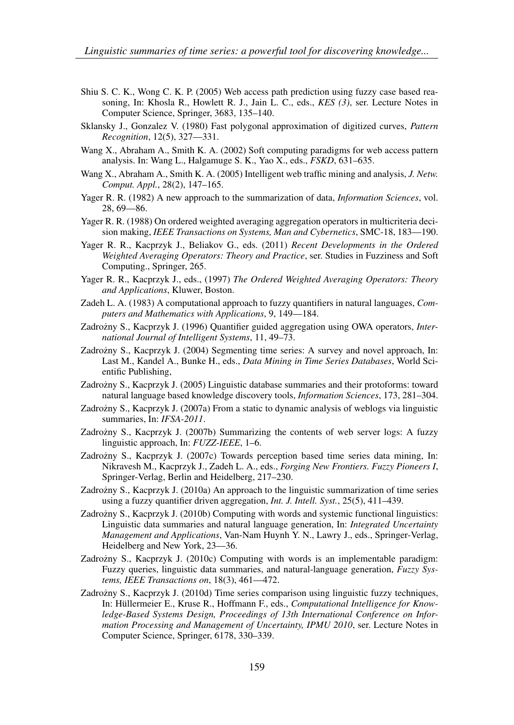- Shiu S. C. K., Wong C. K. P. (2005) Web access path prediction using fuzzy case based reasoning, In: Khosla R., Howlett R. J., Jain L. C., eds., *KES (3)*, ser. Lecture Notes in Computer Science, Springer, 3683, 135–140.
- Sklansky J., Gonzalez V. (1980) Fast polygonal approximation of digitized curves, *Pattern Recognition*, 12(5), 327—331.
- Wang X., Abraham A., Smith K. A. (2002) Soft computing paradigms for web access pattern analysis. In: Wang L., Halgamuge S. K., Yao X., eds., *FSKD*, 631–635.
- Wang X., Abraham A., Smith K. A. (2005) Intelligent web traffic mining and analysis, *J. Netw. Comput. Appl.*, 28(2), 147–165.
- Yager R. R. (1982) A new approach to the summarization of data, *Information Sciences*, vol. 28, 69—86.
- Yager R. R. (1988) On ordered weighted averaging aggregation operators in multicriteria decision making, *IEEE Transactions on Systems, Man and Cybernetics*, SMC-18, 183—190.
- Yager R. R., Kacprzyk J., Beliakov G., eds. (2011) *Recent Developments in the Ordered Weighted Averaging Operators: Theory and Practice*, ser. Studies in Fuzziness and Soft Computing., Springer, 265.
- Yager R. R., Kacprzyk J., eds., (1997) *The Ordered Weighted Averaging Operators: Theory and Applications*, Kluwer, Boston.
- Zadeh L. A. (1983) A computational approach to fuzzy quantifiers in natural languages, *Computers and Mathematics with Applications*, 9, 149—184.
- Zadrożny S., Kacprzyk J. (1996) Quantifier guided aggregation using OWA operators, *International Journal of Intelligent Systems*, 11, 49–73.
- Zadrozny S., Kacprzyk J. (2004) Segmenting time series: A survey and novel approach, In: ˙ Last M., Kandel A., Bunke H., eds., *Data Mining in Time Series Databases*, World Scientific Publishing,
- Zadrożny S., Kacprzyk J. (2005) Linguistic database summaries and their protoforms: toward natural language based knowledge discovery tools, *Information Sciences*, 173, 281–304.
- Zadrożny S., Kacprzyk J. (2007a) From a static to dynamic analysis of weblogs via linguistic summaries, In: *IFSA-2011*.
- Zadrożny S., Kacprzyk J. (2007b) Summarizing the contents of web server logs: A fuzzy linguistic approach, In: *FUZZ-IEEE*, 1–6.
- Zadrozny S., Kacprzyk J. (2007c) Towards perception based time series data mining, In: ˙ Nikravesh M., Kacprzyk J., Zadeh L. A., eds., *Forging New Frontiers. Fuzzy Pioneers I*, Springer-Verlag, Berlin and Heidelberg, 217–230.
- Zadrozny S., Kacprzyk J. (2010a) An approach to the linguistic summarization of time series ˙ using a fuzzy quantifier driven aggregation, *Int. J. Intell. Syst.*, 25(5), 411–439.
- Zadrożny S., Kacprzyk J. (2010b) Computing with words and systemic functional linguistics: Linguistic data summaries and natural language generation, In: *Integrated Uncertainty Management and Applications*, Van-Nam Huynh Y. N., Lawry J., eds., Springer-Verlag, Heidelberg and New York, 23––36.
- Zadrożny S., Kacprzyk J. (2010c) Computing with words is an implementable paradigm: Fuzzy queries, linguistic data summaries, and natural-language generation, *Fuzzy Systems, IEEE Transactions on*, 18(3), 461—472.
- Zadrożny S., Kacprzyk J. (2010d) Time series comparison using linguistic fuzzy techniques, In: Hüllermeier E., Kruse R., Hoffmann F., eds., *Computational Intelligence for Knowledge-Based Systems Design, Proceedings of 13th International Conference on Information Processing and Management of Uncertainty, IPMU 2010*, ser. Lecture Notes in Computer Science, Springer, 6178, 330–339.